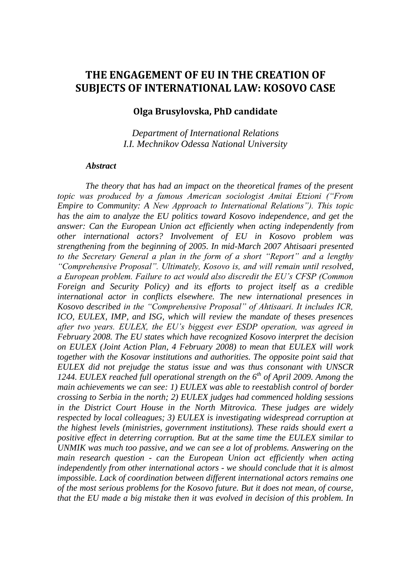# **THE ENGAGEMENT OF EU IN THE CREATION OF SUBJECTS OF INTERNATIONAL LAW: KOSOVO CASE**

#### **Olga Brusylovska, PhD candidate**

*Department of International Relations I.I. Mechnikov Odessa National University*

#### *Abstract*

*The theory that has had an impact on the theoretical frames of the present topic was produced by a famous American sociologist Amitai Etzioni ("From Empire to Community: A New Approach to International Relations"). This topic has the aim to analyze the EU politics toward Kosovo independence, and get the answer: Can the European Union act efficiently when acting independently from other international actors? Involvement of EU in Kosovo problem was strengthening from the beginning of 2005. In mid-March 2007 Ahtisaari presented to the Secretary General a plan in the form of a short "Report" and a lengthy "Comprehensive Proposal". Ultimately, Kosovo is, and will remain until resolved, a European problem. Failure to act would also discredit the EU's CFSP (Common Foreign and Security Policy) and its efforts to project itself as a credible international actor in conflicts elsewhere. The new international presences in Kosovo described in the "Comprehensive Proposal" of Ahtisaari. It includes ICR, ICO, EULEX, IMP, and ISG, which will review the mandate of theses presences after two years. EULEX, the EU's biggest ever ESDP operation, was agreed in February 2008. The EU states which have recognized Kosovo interpret the decision on EULEX (Joint Action Plan, 4 February 2008) to mean that EULEX will work together with the Kosovar institutions and authorities. The opposite point said that EULEX did not prejudge the status issue and was thus consonant with UNSCR 1244. EULEX reached full operational strength on the 6th of April 2009. Among the main achievements we can see: 1) EULEX was able to reestablish control of border crossing to Serbia in the north; 2) EULEX judges had commenced holding sessions in the District Court House in the North Mitrovica. These judges are widely respected by local colleagues; 3) EULEX is investigating widespread corruption at the highest levels (ministries, government institutions). These raids should exert a positive effect in deterring corruption. But at the same time the EULEX similar to UNMIK was much too passive, and we can see a lot of problems. Answering on the main research question - can the European Union act efficiently when acting independently from other international actors - we should conclude that it is almost impossible. Lack of coordination between different international actors remains one of the most serious problems for the Kosovo future. But it does not mean, of course, that the EU made a big mistake then it was evolved in decision of this problem. In*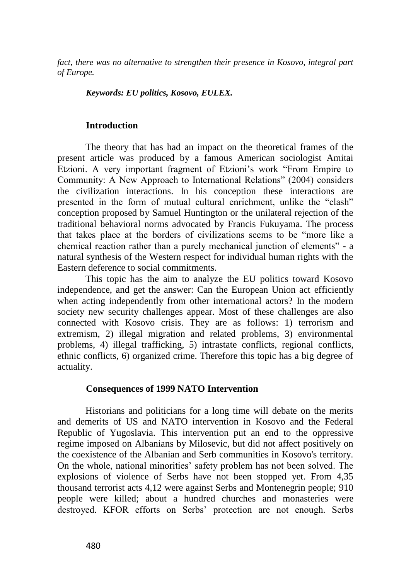*fact, there was no alternative to strengthen their presence in Kosovo, integral part of Europe.* 

#### *Keywords: EU politics, Kosovo, EULEX.*

### **Introduction**

The theory that has had an impact on the theoretical frames of the present article was produced by a famous American sociologist Amitai Etzioni. A very important fragment of Etzioni's work "From Empire to Community: A New Approach to International Relations" (2004) considers the civilization interactions. In his conception these interactions are presented in the form of mutual cultural enrichment, unlike the "clash" conception proposed by Samuel Huntington or the unilateral rejection of the traditional behavioral norms advocated by Francis Fukuyama. The process that takes place at the borders of civilizations seems to be "more like a chemical reaction rather than a purely mechanical junction of elements" - a natural synthesis of the Western respect for individual human rights with the Eastern deference to social commitments.

This topic has the aim to analyze the EU politics toward Kosovo independence, and get the answer: Can the European Union act efficiently when acting independently from other international actors? In the modern society new security challenges appear. Most of these challenges are also connected with Kosovo crisis. They are as follows: 1) terrorism and extremism, 2) illegal migration and related problems, 3) environmental problems, 4) illegal trafficking, 5) intrastate conflicts, regional conflicts, ethnic conflicts, 6) organized crime. Therefore this topic has a big degree of actuality.

#### **Consequences of 1999 NATO Intervention**

Historians and politicians for a long time will debate on the merits and demerits of US and NATO intervention in Kosovo and the Federal Republic of Yugoslavia. This intervention put an end to the oppressive regime imposed on Albanians by Milosevic, but did not affect positively on the coexistence of the Albanian and Serb communities in Kosovo's territory. On the whole, national minorities' safety problem has not been solved. The explosions of violence of Serbs have not been stopped yet. From 4,35 thousand terrorist acts 4,12 were against Serbs and Montenegrin people; 910 people were killed; about a hundred churches and monasteries were destroyed. KFOR efforts on Serbs' protection are not enough. Serbs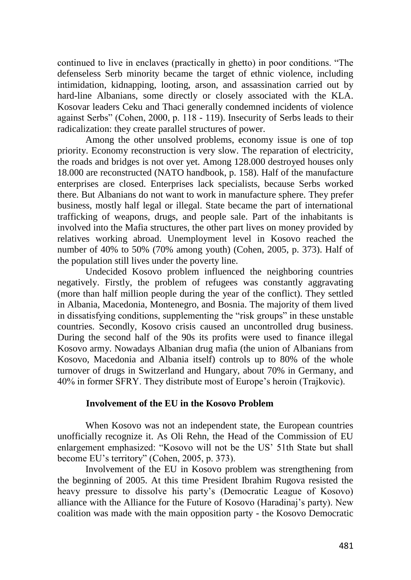continued to live in enclaves (practically in ghetto) in poor conditions. "The defenseless Serb minority became the target of ethnic violence, including intimidation, kidnapping, looting, arson, and assassination carried out by hard-line Albanians, some directly or closely associated with the KLA. Kosovar leaders Ceku and Thaci generally condemned incidents of violence against Serbs" (Cohen, 2000, p. 118 - 119). Insecurity of Serbs leads to their radicalization: they create parallel structures of power.

Among the other unsolved problems, economy issue is one of top priority. Economy reconstruction is very slow. The reparation of electricity, the roads and bridges is not over yet. Among 128.000 destroyed houses only 18.000 are reconstructed (NATO handbook, p. 158). Half of the manufacture enterprises are closed. Enterprises lack specialists, because Serbs worked there. But Albanians do not want to work in manufacture sphere. They prefer business, mostly half legal or illegal. State became the part of international trafficking of weapons, drugs, and people sale. Part of the inhabitants is involved into the Mafia structures, the other part lives on money provided by relatives working abroad. Unemployment level in Kosovo reached the number of 40% to 50% (70% among youth) (Cohen, 2005, p. 373). Half of the population still lives under the poverty line.

Undecided Kosovo problem influenced the neighboring countries negatively. Firstly, the problem of refugees was constantly aggravating (more than half million people during the year of the conflict). They settled in Albania, Macedonia, Montenegro, and Bosnia. The majority of them lived in dissatisfying conditions, supplementing the "risk groups" in these unstable countries. Secondly, Kosovo crisis caused an uncontrolled drug business. During the second half of the 90s its profits were used to finance illegal Kosovo army. Nowadays Albanian drug mafia (the union of Albanians from Kosovo, Macedonia and Albania itself) controls up to 80% of the whole turnover of drugs in Switzerland and Hungary, about 70% in Germany, and 40% in former SFRY. They distribute most of Europe's heroin (Trajkovic).

## **Involvement of the EU in the Kosovo Problem**

When Kosovo was not an independent state, the European countries unofficially recognize it. As Oli Rehn, the Head of the Commission of EU enlargement emphasized: "Kosovo will not be the US' 51th State but shall become EU's territory" (Cohen, 2005, p. 373).

Involvement of the EU in Kosovo problem was strengthening from the beginning of 2005. At this time President Ibrahim Rugova resisted the heavy pressure to dissolve his party's (Democratic League of Kosovo) alliance with the Alliance for the Future of Kosovo (Haradinaj's party). New coalition was made with the main opposition party - the Kosovo Democratic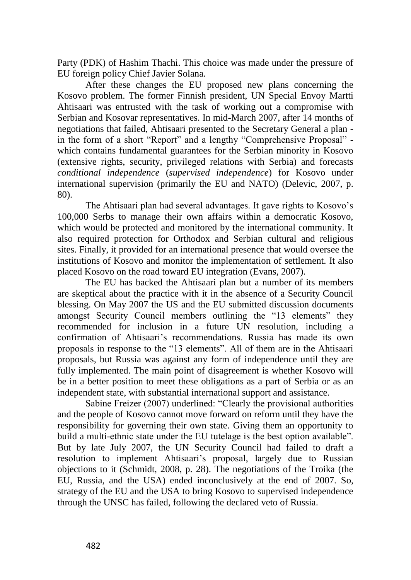Party (PDK) of Hashim Thachi. This choice was made under the pressure of EU foreign policy Chief Javier Solana.

After these changes the EU proposed new plans concerning the Kosovo problem. The former Finnish president, UN Special Envoy Martti Ahtisaari was entrusted with the task of working out a compromise with Serbian and Kosovar representatives. In mid-March 2007, after 14 months of negotiations that failed, Ahtisaari presented to the Secretary General a plan in the form of a short "Report" and a lengthy "Comprehensive Proposal" which contains fundamental guarantees for the Serbian minority in Kosovo (extensive rights, security, privileged relations with Serbia) and forecasts *conditional independence* (*supervised independence*) for Kosovo under international supervision (primarily the EU and NATO) (Delevic, 2007, p. 80).

The Ahtisaari plan had several advantages. It gave rights to Kosovo's 100,000 Serbs to manage their own affairs within a democratic Kosovo, which would be protected and monitored by the international community. It also required protection for Orthodox and Serbian cultural and religious sites. Finally, it provided for an international presence that would oversee the institutions of Kosovo and monitor the implementation of settlement. It also placed Kosovo on the road toward EU integration (Evans, 2007).

The EU has backed the Ahtisaari plan but a number of its members are skeptical about the practice with it in the absence of a Security Council blessing. On May 2007 the US and the EU submitted discussion documents amongst Security Council members outlining the "13 elements" they recommended for inclusion in a future UN resolution, including a confirmation of Ahtisaari's recommendations. Russia has made its own proposals in response to the "13 elements". All of them are in the Ahtisaari proposals, but Russia was against any form of independence until they are fully implemented. The main point of disagreement is whether Kosovo will be in a better position to meet these obligations as a part of Serbia or as an independent state, with substantial international support and assistance.

Sabine Freizer (2007) underlined: "Clearly the provisional authorities and the people of Kosovo cannot move forward on reform until they have the responsibility for governing their own state. Giving them an opportunity to build a multi-ethnic state under the EU tutelage is the best option available". But by late July 2007, the UN Security Council had failed to draft a resolution to implement Ahtisaari's proposal, largely due to Russian objections to it (Schmidt, 2008, p. 28). The negotiations of the Troika (the EU, Russia, and the USA) ended inconclusively at the end of 2007. So, strategy of the EU and the USA to bring Kosovo to supervised independence through the UNSC has failed, following the declared veto of Russia.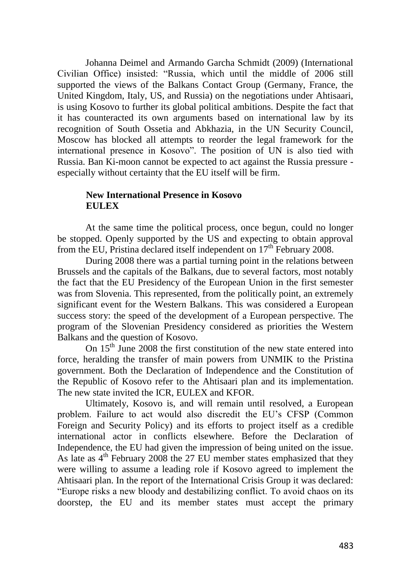Johanna Deimel and Armando Garcha Schmidt (2009) (International Civilian Office) insisted: "Russia, which until the middle of 2006 still supported the views of the Balkans Contact Group (Germany, France, the United Kingdom, Italy, US, and Russia) on the negotiations under Ahtisaari, is using Kosovo to further its global political ambitions. Despite the fact that it has counteracted its own arguments based on international law by its recognition of South Ossetia and Abkhazia, in the UN Security Council, Moscow has blocked all attempts to reorder the legal framework for the international presence in Kosovo". The position of UN is also tied with Russia. Ban Ki-moon cannot be expected to act against the Russia pressure especially without certainty that the EU itself will be firm.

## **New International Presence in Kosovo EULEX**

At the same time the political process, once begun, could no longer be stopped. Openly supported by the US and expecting to obtain approval from the EU, Pristina declared itself independent on  $17<sup>th</sup>$  February 2008.

During 2008 there was a partial turning point in the relations between Brussels and the capitals of the Balkans, due to several factors, most notably the fact that the EU Presidency of the European Union in the first semester was from Slovenia. This represented, from the politically point, an extremely significant event for the Western Balkans. This was considered a European success story: the speed of the development of a European perspective. The program of the Slovenian Presidency considered as priorities the Western Balkans and the question of Kosovo.

On  $15<sup>th</sup>$  June 2008 the first constitution of the new state entered into force, heralding the transfer of main powers from UNMIK to the Pristina government. Both the Declaration of Independence and the Constitution of the Republic of Kosovo refer to the Ahtisaari plan and its implementation. The new state invited the ICR, EULEX and KFOR.

Ultimately, Kosovo is, and will remain until resolved, a European problem. Failure to act would also discredit the EU's CFSP (Common Foreign and Security Policy) and its efforts to project itself as a credible international actor in conflicts elsewhere. Before the Declaration of Independence, the EU had given the impression of being united on the issue. As late as  $4<sup>th</sup>$  February 2008 the 27 EU member states emphasized that they were willing to assume a leading role if Kosovo agreed to implement the Ahtisaari plan. In the report of the International Crisis Group it was declared: "Europe risks a new bloody and destabilizing conflict. To avoid chaos on its doorstep, the EU and its member states must accept the primary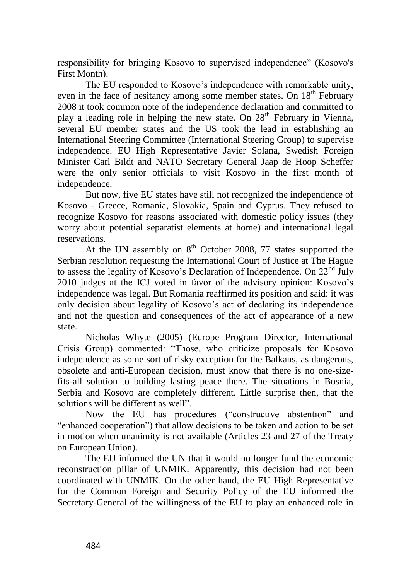responsibility for bringing Kosovo to supervised independence" (Kosovo's First Month).

The EU responded to Kosovo's independence with remarkable unity, even in the face of hesitancy among some member states. On  $18<sup>th</sup>$  February 2008 it took common note of the independence declaration and committed to play a leading role in helping the new state. On  $28<sup>th</sup>$  February in Vienna, several EU member states and the US took the lead in establishing an International Steering Committee (International Steering Group) to supervise independence. EU High Representative Javier Solana, Swedish Foreign Minister Carl Bildt and NATO Secretary General Jaap de Hoop Scheffer were the only senior officials to visit Kosovo in the first month of independence.

But now, five EU states have still not recognized the independence of Kosovo - Greece, Romania, Slovakia, Spain and Cyprus. They refused to recognize Kosovo for reasons associated with domestic policy issues (they worry about potential separatist elements at home) and international legal reservations.

At the UN assembly on  $8<sup>th</sup>$  October 2008, 77 states supported the Serbian resolution requesting the International Court of Justice at The Hague to assess the legality of Kosovo's Declaration of Independence. On  $22<sup>nd</sup>$  July 2010 judges at the ICJ voted in favor of the advisory opinion: Kosovo's independence was legal. But Romania reaffirmed its position and said: it was only decision about legality of Kosovo's act of declaring its independence and not the question and consequences of the act of appearance of a new state.

Nicholas Whyte (2005) (Europe Program Director, International Crisis Group) commented: "Those, who criticize proposals for Kosovo independence as some sort of risky exception for the Balkans, as dangerous, obsolete and anti-European decision, must know that there is no one-sizefits-all solution to building lasting peace there. The situations in Bosnia, Serbia and Kosovo are completely different. Little surprise then, that the solutions will be different as well".

Now the EU has procedures ("constructive abstention" and "enhanced cooperation") that allow decisions to be taken and action to be set in motion when unanimity is not available (Articles 23 and 27 of the Treaty on European Union).

The EU informed the UN that it would no longer fund the economic reconstruction pillar of UNMIK. Apparently, this decision had not been coordinated with UNMIK. On the other hand, the EU High Representative for the Common Foreign and Security Policy of the EU informed the Secretary-General of the willingness of the EU to play an enhanced role in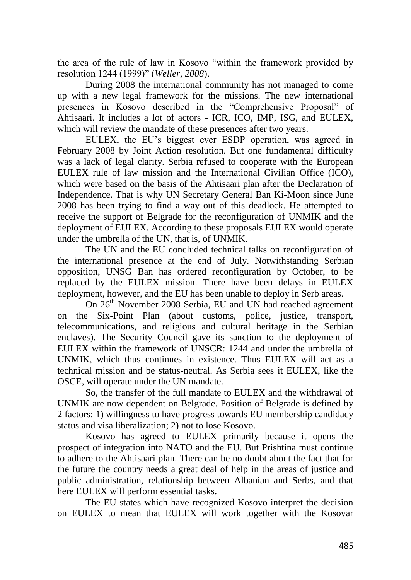the area of the rule of law in Kosovo "within the framework provided by resolution 1244 (1999)" (*Weller, 2008*).

During 2008 the international community has not managed to come up with a new legal framework for the missions. The new international presences in Kosovo described in the "Comprehensive Proposal" of Ahtisaari. It includes a lot of actors - ICR, ICO, IMP, ISG, and EULEX, which will review the mandate of these presences after two years.

EULEX, the EU's biggest ever ESDP operation, was agreed in February 2008 by Joint Action resolution. But one fundamental difficulty was a lack of legal clarity. Serbia refused to cooperate with the European EULEX rule of law mission and the International Civilian Office (ICO), which were based on the basis of the Ahtisaari plan after the Declaration of Independence. That is why UN Secretary General Ban Ki-Moon since June 2008 has been trying to find a way out of this deadlock. He attempted to receive the support of Belgrade for the reconfiguration of UNMIK and the deployment of EULEX. According to these proposals EULEX would operate under the umbrella of the UN, that is, of UNMIK.

The UN and the EU concluded technical talks on reconfiguration of the international presence at the end of July. Notwithstanding Serbian opposition, UNSG Ban has ordered reconfiguration by October, to be replaced by the EULEX mission. There have been delays in EULEX deployment, however, and the EU has been unable to deploy in Serb areas.

On 26<sup>th</sup> November 2008 Serbia, EU and UN had reached agreement on the Six-Point Plan (about customs, police, justice, transport, telecommunications, and religious and cultural heritage in the Serbian enclaves). The Security Council gave its sanction to the deployment of EULEX within the framework of UNSCR: 1244 and under the umbrella of UNMIK, which thus continues in existence. Thus EULEX will act as a technical mission and be status-neutral. As Serbia sees it EULEX, like the OSCE, will operate under the UN mandate.

So, the transfer of the full mandate to EULEX and the withdrawal of UNMIK are now dependent on Belgrade. Position of Belgrade is defined by 2 factors: 1) willingness to have progress towards EU membership candidacy status and visa liberalization; 2) not to lose Kosovo.

Kosovo has agreed to EULEX primarily because it opens the prospect of integration into NATO and the EU. But Prishtina must continue to adhere to the Ahtisaari plan. There can be no doubt about the fact that for the future the country needs a great deal of help in the areas of justice and public administration, relationship between Albanian and Serbs, and that here EULEX will perform essential tasks.

The EU states which have recognized Kosovo interpret the decision on EULEX to mean that EULEX will work together with the Kosovar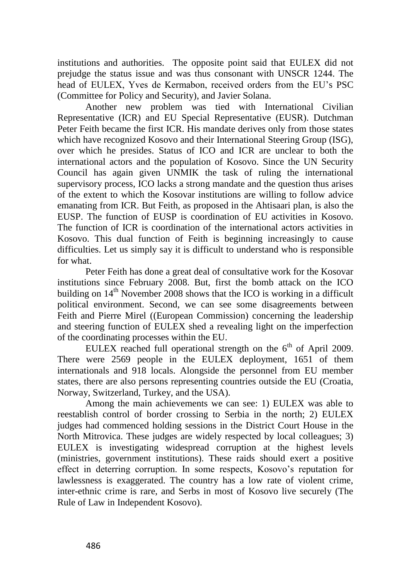institutions and authorities. The opposite point said that EULEX did not prejudge the status issue and was thus consonant with UNSCR 1244. The head of EULEX, Yves de Kermabon, received orders from the EU's PSC (Committee for Policy and Security), and Javier Solana.

Another new problem was tied with International Civilian Representative (ICR) and EU Special Representative (EUSR). Dutchman Peter Feith became the first ICR. His mandate derives only from those states which have recognized Kosovo and their International Steering Group (ISG), over which he presides. Status of ICO and ICR are unclear to both the international actors and the population of Kosovo. Since the UN Security Council has again given UNMIK the task of ruling the international supervisory process, ICO lacks a strong mandate and the question thus arises of the extent to which the Kosovar institutions are willing to follow advice emanating from ICR. But Feith, as proposed in the Ahtisaari plan, is also the EUSP. The function of EUSP is coordination of EU activities in Kosovo. The function of ICR is coordination of the international actors activities in Kosovo. This dual function of Feith is beginning increasingly to cause difficulties. Let us simply say it is difficult to understand who is responsible for what.

Peter Feith has done a great deal of consultative work for the Kosovar institutions since February 2008. But, first the bomb attack on the ICO building on  $14<sup>th</sup>$  November 2008 shows that the ICO is working in a difficult political environment. Second, we can see some disagreements between Feith and Pierre Mirel ((European Commission) concerning the leadership and steering function of EULEX shed a revealing light on the imperfection of the coordinating processes within the EU.

EULEX reached full operational strength on the  $6<sup>th</sup>$  of April 2009. There were 2569 people in the EULEX deployment, 1651 of them internationals and 918 locals. Alongside the personnel from EU member states, there are also persons representing countries outside the EU (Croatia, Norway, Switzerland, Turkey, and the USA).

Among the main achievements we can see: 1) EULEX was able to reestablish control of border crossing to Serbia in the north; 2) EULEX judges had commenced holding sessions in the District Court House in the North Mitrovica. These judges are widely respected by local colleagues; 3) EULEX is investigating widespread corruption at the highest levels (ministries, government institutions). These raids should exert a positive effect in deterring corruption. In some respects, Kosovo's reputation for lawlessness is exaggerated. The country has a low rate of violent crime, inter-ethnic crime is rare, and Serbs in most of Kosovo live securely (The Rule of Law in Independent Kosovo).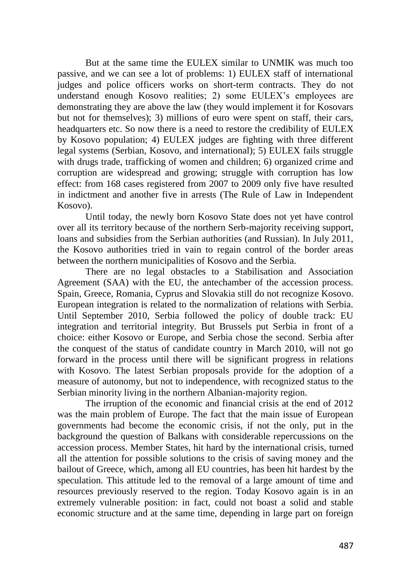But at the same time the EULEX similar to UNMIK was much too passive, and we can see a lot of problems: 1) EULEX staff of international judges and police officers works on short-term contracts. They do not understand enough Kosovo realities; 2) some EULEX's employees are demonstrating they are above the law (they would implement it for Kosovars but not for themselves); 3) millions of euro were spent on staff, their cars, headquarters etc. So now there is a need to restore the credibility of EULEX by Kosovo population; 4) EULEX judges are fighting with three different legal systems (Serbian, Kosovo, and international); 5) EULEX fails struggle with drugs trade, trafficking of women and children; 6) organized crime and corruption are widespread and growing; struggle with corruption has low effect: from 168 cases registered from 2007 to 2009 only five have resulted in indictment and another five in arrests (The Rule of Law in Independent Kosovo).

Until today, the newly born Kosovo State does not yet have control over all its territory because of the northern Serb-majority receiving support, loans and subsidies from the Serbian authorities (and Russian). In July 2011, the Kosovo authorities tried in vain to regain control of the border areas between the northern municipalities of Kosovo and the Serbia.

There are no legal obstacles to a Stabilisation and Association Agreement (SAA) with the EU, the antechamber of the accession process. Spain, Greece, Romania, Cyprus and Slovakia still do not recognize Kosovo. European integration is related to the normalization of relations with Serbia. Until September 2010, Serbia followed the policy of double track: EU integration and territorial integrity. But Brussels put Serbia in front of a choice: either Kosovo or Europe, and Serbia chose the second. Serbia after the conquest of the status of candidate country in March 2010, will not go forward in the process until there will be significant progress in relations with Kosovo. The latest Serbian proposals provide for the adoption of a measure of autonomy, but not to independence, with recognized status to the Serbian minority living in the northern Albanian-majority region.

The irruption of the economic and financial crisis at the end of 2012 was the main problem of Europe. The fact that the main issue of European governments had become the economic crisis, if not the only, put in the background the question of Balkans with considerable repercussions on the accession process. Member States, hit hard by the international crisis, turned all the attention for possible solutions to the crisis of saving money and the bailout of Greece, which, among all EU countries, has been hit hardest by the speculation. This attitude led to the removal of a large amount of time and resources previously reserved to the region. Today Kosovo again is in an extremely vulnerable position: in fact, could not boast a solid and stable economic structure and at the same time, depending in large part on foreign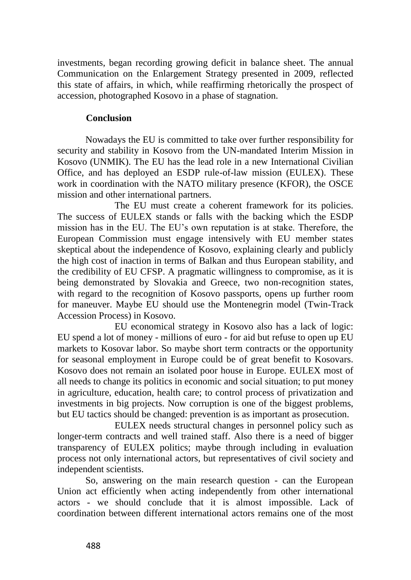investments, began recording growing deficit in balance sheet. The annual Communication on the Enlargement Strategy presented in 2009, reflected this state of affairs, in which, while reaffirming rhetorically the prospect of accession, photographed Kosovo in a phase of stagnation.

## **Conclusion**

Nowadays the EU is committed to take over further responsibility for security and stability in Kosovo from the UN-mandated Interim Mission in Kosovo (UNMIK). The EU has the lead role in a new International Civilian Office, and has deployed an ESDP rule-of-law mission (EULEX). These work in coordination with the NATO military presence (KFOR), the OSCE mission and other international partners.

The EU must create a coherent framework for its policies. The success of EULEX stands or falls with the backing which the ESDP mission has in the EU. The EU's own reputation is at stake. Therefore, the European Commission must engage intensively with EU member states skeptical about the independence of Kosovo, explaining clearly and publicly the high cost of inaction in terms of Balkan and thus European stability, and the credibility of EU CFSP. A pragmatic willingness to compromise, as it is being demonstrated by Slovakia and Greece, two non-recognition states, with regard to the recognition of Kosovo passports, opens up further room for maneuver. Maybe EU should use the Montenegrin model (Twin-Track Accession Process) in Kosovo.

EU economical strategy in Kosovo also has a lack of logic: EU spend a lot of money - millions of euro - for aid but refuse to open up EU markets to Kosovar labor. So maybe short term contracts or the opportunity for seasonal employment in Europe could be of great benefit to Kosovars. Kosovo does not remain an isolated poor house in Europe. EULEX most of all needs to change its politics in economic and social situation; to put money in agriculture, education, health care; to control process of privatization and investments in big projects. Now corruption is one of the biggest problems, but EU tactics should be changed: prevention is as important as prosecution.

EULEX needs structural changes in personnel policy such as longer-term contracts and well trained staff. Also there is a need of bigger transparency of EULEX politics; maybe through including in evaluation process not only international actors, but representatives of civil society and independent scientists.

So, answering on the main research question - can the European Union act efficiently when acting independently from other international actors - we should conclude that it is almost impossible. Lack of coordination between different international actors remains one of the most